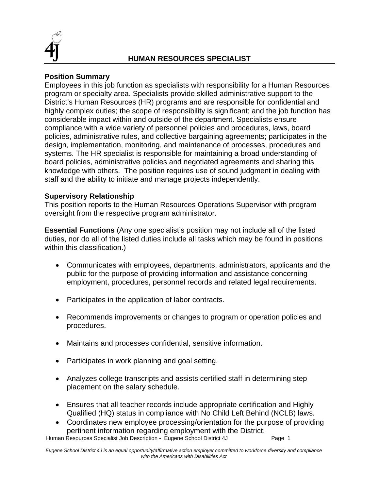

# **Position Summary**

Employees in this job function as specialists with responsibility for a Human Resources program or specialty area. Specialists provide skilled administrative support to the District's Human Resources (HR) programs and are responsible for confidential and highly complex duties; the scope of responsibility is significant; and the job function has considerable impact within and outside of the department. Specialists ensure compliance with a wide variety of personnel policies and procedures, laws, board policies, administrative rules, and collective bargaining agreements; participates in the design, implementation, monitoring, and maintenance of processes, procedures and systems. The HR specialist is responsible for maintaining a broad understanding of board policies, administrative policies and negotiated agreements and sharing this knowledge with others. The position requires use of sound judgment in dealing with staff and the ability to initiate and manage projects independently.

## **Supervisory Relationship**

This position reports to the Human Resources Operations Supervisor with program oversight from the respective program administrator.

**Essential Functions** (Any one specialist's position may not include all of the listed duties, nor do all of the listed duties include all tasks which may be found in positions within this classification.)

- Communicates with employees, departments, administrators, applicants and the public for the purpose of providing information and assistance concerning employment, procedures, personnel records and related legal requirements.
- Participates in the application of labor contracts.
- Recommends improvements or changes to program or operation policies and procedures.
- Maintains and processes confidential, sensitive information.
- Participates in work planning and goal setting.
- Analyzes college transcripts and assists certified staff in determining step placement on the salary schedule.
- Ensures that all teacher records include appropriate certification and Highly Qualified (HQ) status in compliance with No Child Left Behind (NCLB) laws.
- Coordinates new employee processing/orientation for the purpose of providing pertinent information regarding employment with the District.

Human Resources Specialist Job Description - Eugene School District 4J Page 1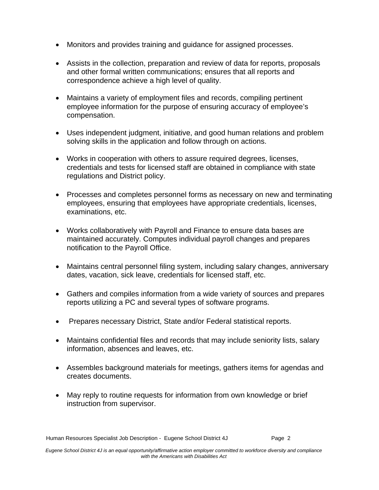- Monitors and provides training and guidance for assigned processes.
- Assists in the collection, preparation and review of data for reports, proposals and other formal written communications; ensures that all reports and correspondence achieve a high level of quality.
- Maintains a variety of employment files and records, compiling pertinent employee information for the purpose of ensuring accuracy of employee's compensation.
- Uses independent judgment, initiative, and good human relations and problem solving skills in the application and follow through on actions.
- Works in cooperation with others to assure required degrees, licenses, credentials and tests for licensed staff are obtained in compliance with state regulations and District policy.
- Processes and completes personnel forms as necessary on new and terminating employees, ensuring that employees have appropriate credentials, licenses, examinations, etc.
- Works collaboratively with Payroll and Finance to ensure data bases are maintained accurately. Computes individual payroll changes and prepares notification to the Payroll Office.
- Maintains central personnel filing system, including salary changes, anniversary dates, vacation, sick leave, credentials for licensed staff, etc.
- Gathers and compiles information from a wide variety of sources and prepares reports utilizing a PC and several types of software programs.
- Prepares necessary District, State and/or Federal statistical reports.
- Maintains confidential files and records that may include seniority lists, salary information, absences and leaves, etc.
- Assembles background materials for meetings, gathers items for agendas and creates documents.
- May reply to routine requests for information from own knowledge or brief instruction from supervisor.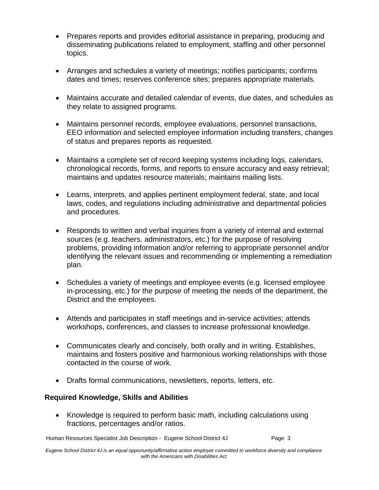- Prepares reports and provides editorial assistance in preparing, producing and disseminating publications related to employment, staffing and other personnel topics.
- Arranges and schedules a variety of meetings; notifies participants; confirms dates and times; reserves conference sites; prepares appropriate materials.
- Maintains accurate and detailed calendar of events, due dates, and schedules as they relate to assigned programs.
- Maintains personnel records, employee evaluations, personnel transactions, EEO information and selected employee information including transfers, changes of status and prepares reports as requested.
- Maintains a complete set of record keeping systems including logs, calendars, chronological records, forms, and reports to ensure accuracy and easy retrieval; maintains and updates resource materials; maintains mailing lists.
- Learns, interprets, and applies pertinent employment federal, state, and local laws, codes, and regulations including administrative and departmental policies and procedures.
- Responds to written and verbal inquiries from a variety of internal and external sources (e.g. teachers, administrators, etc.) for the purpose of resolving problems, providing information and/or referring to appropriate personnel and/or identifying the relevant issues and recommending or implementing a remediation plan.
- Schedules a variety of meetings and employee events (e.g. licensed employee in-processing, etc.) for the purpose of meeting the needs of the department, the District and the employees.
- Attends and participates in staff meetings and in-service activities; attends workshops, conferences, and classes to increase professional knowledge.
- Communicates clearly and concisely, both orally and in writing. Establishes, maintains and fosters positive and harmonious working relationships with those contacted in the course of work.
- Drafts formal communications, newsletters, reports, letters, etc.

## **Required Knowledge, Skills and Abilities**

• Knowledge is required to perform basic math, including calculations using fractions, percentages and/or ratios.

Human Resources Specialist Job Description - Eugene School District 4J Page 3

*Eugene School District 4J is an equal opportunity/affirmative action employer committed to workforce diversity and compliance with the Americans with Disabilities Act*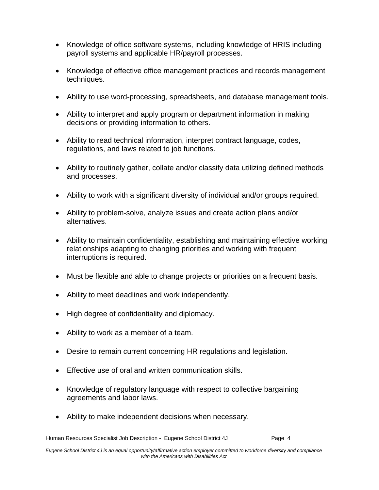- Knowledge of office software systems, including knowledge of HRIS including payroll systems and applicable HR/payroll processes.
- Knowledge of effective office management practices and records management techniques.
- Ability to use word-processing, spreadsheets, and database management tools.
- Ability to interpret and apply program or department information in making decisions or providing information to others.
- Ability to read technical information, interpret contract language, codes, regulations, and laws related to job functions.
- Ability to routinely gather, collate and/or classify data utilizing defined methods and processes.
- Ability to work with a significant diversity of individual and/or groups required.
- Ability to problem-solve, analyze issues and create action plans and/or alternatives.
- Ability to maintain confidentiality, establishing and maintaining effective working relationships adapting to changing priorities and working with frequent interruptions is required.
- Must be flexible and able to change projects or priorities on a frequent basis.
- Ability to meet deadlines and work independently.
- High degree of confidentiality and diplomacy.
- Ability to work as a member of a team.
- Desire to remain current concerning HR regulations and legislation.
- Effective use of oral and written communication skills.
- Knowledge of regulatory language with respect to collective bargaining agreements and labor laws.
- Ability to make independent decisions when necessary.

Human Resources Specialist Job Description - Eugene School District 4J Page 4

*Eugene School District 4J is an equal opportunity/affirmative action employer committed to workforce diversity and compliance with the Americans with Disabilities Act*